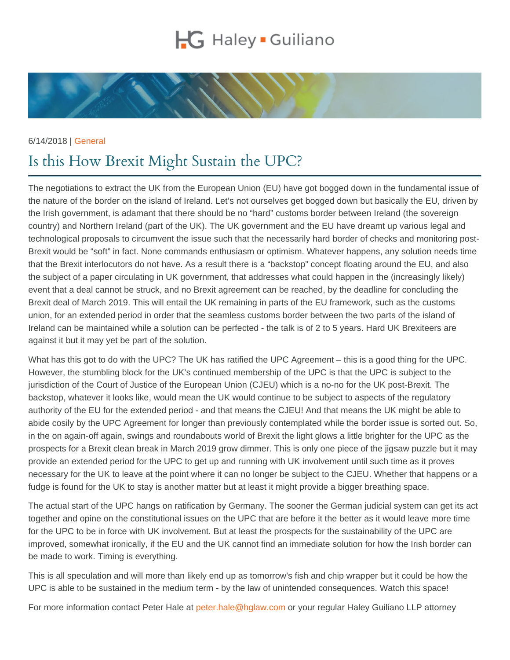## 6/14/2018 | [General](https://www.hglaw.com/news-insights/category/general/)

## Is this How Brexit Might Sustain the UPC?

The negotiations to extract the UK from the European Union (EU) have got bogged down in the fundamental issue of the nature of the border on the island of Ireland. Let's not ourselves get bogged down but basically the EU, driven by the Irish government, is adamant that there should be no "hard" customs border between Ireland (the sovereign country) and Northern Ireland (part of the UK). The UK government and the EU have dreamt up various legal and technological proposals to circumvent the issue such that the necessarily hard border of checks and monitoring post-Brexit would be "soft" in fact. None commands enthusiasm or optimism. Whatever happens, any solution needs time that the Brexit interlocutors do not have. As a result there is a "backstop" concept floating around the EU, and also the subject of a paper circulating in UK government, that addresses what could happen in the (increasingly likely) event that a deal cannot be struck, and no Brexit agreement can be reached, by the deadline for concluding the Brexit deal of March 2019. This will entail the UK remaining in parts of the EU framework, such as the customs union, for an extended period in order that the seamless customs border between the two parts of the island of Ireland can be maintained while a solution can be perfected - the talk is of 2 to 5 years. Hard UK Brexiteers are against it but it may yet be part of the solution.

What has this got to do with the UPC? The UK has ratified the UPC Agreement – this is a good thing for the UPC. However, the stumbling block for the UK's continued membership of the UPC is that the UPC is subject to the jurisdiction of the Court of Justice of the European Union (CJEU) which is a no-no for the UK post-Brexit. The backstop, whatever it looks like, would mean the UK would continue to be subject to aspects of the regulatory authority of the EU for the extended period - and that means the CJEU! And that means the UK might be able to abide cosily by the UPC Agreement for longer than previously contemplated while the border issue is sorted out. So, in the on again-off again, swings and roundabouts world of Brexit the light glows a little brighter for the UPC as the prospects for a Brexit clean break in March 2019 grow dimmer. This is only one piece of the jigsaw puzzle but it may provide an extended period for the UPC to get up and running with UK involvement until such time as it proves necessary for the UK to leave at the point where it can no longer be subject to the CJEU. Whether that happens or a fudge is found for the UK to stay is another matter but at least it might provide a bigger breathing space.

The actual start of the UPC hangs on ratification by Germany. The sooner the German judicial system can get its act together and opine on the constitutional issues on the UPC that are before it the better as it would leave more time for the UPC to be in force with UK involvement. But at least the prospects for the sustainability of the UPC are improved, somewhat ironically, if the EU and the UK cannot find an immediate solution for how the Irish border can be made to work. Timing is everything.

This is all speculation and will more than likely end up as tomorrow's fish and chip wrapper but it could be how the UPC is able to be sustained in the medium term - by the law of unintended consequences. Watch this space!

For more information contact Peter Hale at [peter.hale@hglaw.com](mailto:peter.hale@hglaw.com) or your regular Haley Guiliano LLP attorney